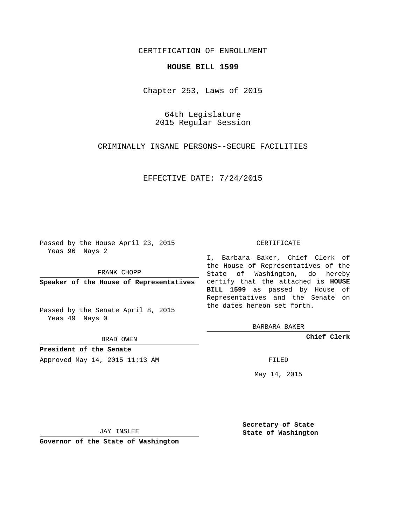## CERTIFICATION OF ENROLLMENT

#### **HOUSE BILL 1599**

Chapter 253, Laws of 2015

64th Legislature 2015 Regular Session

CRIMINALLY INSANE PERSONS--SECURE FACILITIES

EFFECTIVE DATE: 7/24/2015

Passed by the House April 23, 2015 Yeas 96 Nays 2

FRANK CHOPP

Passed by the Senate April 8, 2015 Yeas 49 Nays 0

BRAD OWEN

**President of the Senate**

Approved May 14, 2015 11:13 AM FILED

#### CERTIFICATE

**Speaker of the House of Representatives** certify that the attached is **HOUSE** I, Barbara Baker, Chief Clerk of the House of Representatives of the State of Washington, do hereby **BILL 1599** as passed by House of Representatives and the Senate on the dates hereon set forth.

BARBARA BAKER

**Chief Clerk**

May 14, 2015

JAY INSLEE

**Governor of the State of Washington**

**Secretary of State State of Washington**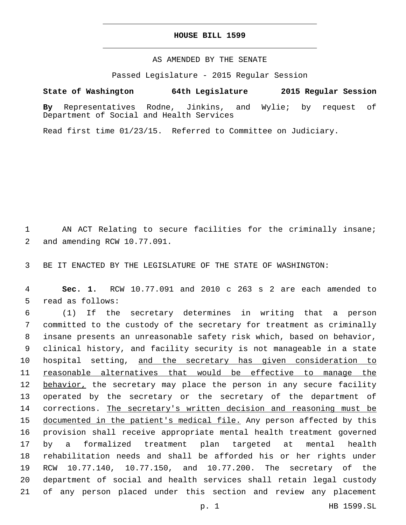#### **HOUSE BILL 1599**

### AS AMENDED BY THE SENATE

Passed Legislature - 2015 Regular Session

# **State of Washington 64th Legislature 2015 Regular Session**

**By** Representatives Rodne, Jinkins, and Wylie; by request of Department of Social and Health Services

Read first time 01/23/15. Referred to Committee on Judiciary.

1 AN ACT Relating to secure facilities for the criminally insane; 2 and amending RCW 10.77.091.

3 BE IT ENACTED BY THE LEGISLATURE OF THE STATE OF WASHINGTON:

4 **Sec. 1.** RCW 10.77.091 and 2010 c 263 s 2 are each amended to 5 read as follows:

 (1) If the secretary determines in writing that a person committed to the custody of the secretary for treatment as criminally insane presents an unreasonable safety risk which, based on behavior, clinical history, and facility security is not manageable in a state 10 hospital setting, and the secretary has given consideration to reasonable alternatives that would be effective to manage the 12 behavior, the secretary may place the person in any secure facility operated by the secretary or the secretary of the department of 14 corrections. The secretary's written decision and reasoning must be documented in the patient's medical file. Any person affected by this provision shall receive appropriate mental health treatment governed by a formalized treatment plan targeted at mental health rehabilitation needs and shall be afforded his or her rights under RCW 10.77.140, 10.77.150, and 10.77.200. The secretary of the department of social and health services shall retain legal custody of any person placed under this section and review any placement

p. 1 HB 1599.SL